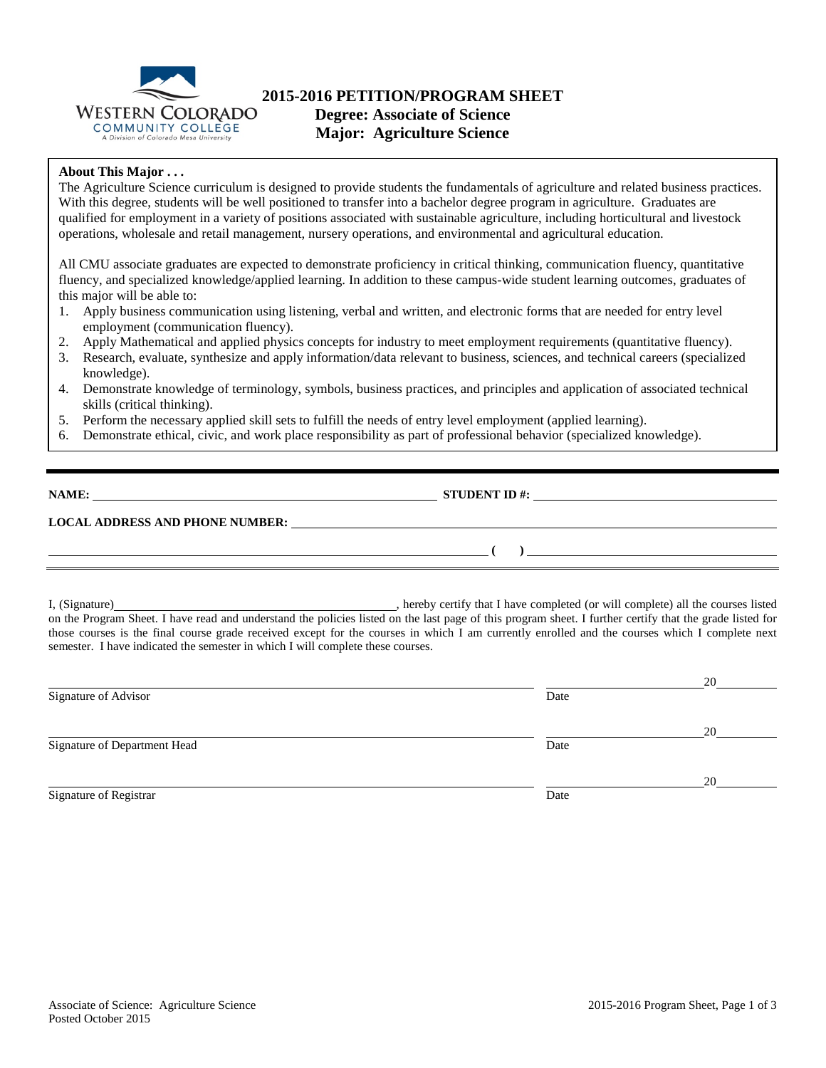

# **2015-2016 PETITION/PROGRAM SHEET Degree: Associate of Science**

**Major: Agriculture Science**

## **About This Major . . .**

The Agriculture Science curriculum is designed to provide students the fundamentals of agriculture and related business practices. With this degree, students will be well positioned to transfer into a bachelor degree program in agriculture. Graduates are qualified for employment in a variety of positions associated with sustainable agriculture, including horticultural and livestock operations, wholesale and retail management, nursery operations, and environmental and agricultural education.

All CMU associate graduates are expected to demonstrate proficiency in critical thinking, communication fluency, quantitative fluency, and specialized knowledge/applied learning. In addition to these campus-wide student learning outcomes, graduates of this major will be able to:

- 1. Apply business communication using listening, verbal and written, and electronic forms that are needed for entry level employment (communication fluency).
- 2. Apply Mathematical and applied physics concepts for industry to meet employment requirements (quantitative fluency).
- 3. Research, evaluate, synthesize and apply information/data relevant to business, sciences, and technical careers (specialized knowledge).
- 4. Demonstrate knowledge of terminology, symbols, business practices, and principles and application of associated technical skills (critical thinking).
- 5. Perform the necessary applied skill sets to fulfill the needs of entry level employment (applied learning).
- 6. Demonstrate ethical, civic, and work place responsibility as part of professional behavior (specialized knowledge).

| NAME:                                  | <b>STUDENT ID #:</b> | the contract of the contract of the contract of the contract of the contract of the contract of the contract of |
|----------------------------------------|----------------------|-----------------------------------------------------------------------------------------------------------------|
| <b>LOCAL ADDRESS AND PHONE NUMBER:</b> |                      |                                                                                                                 |
|                                        |                      |                                                                                                                 |

I, (Signature) , hereby certify that I have completed (or will complete) all the courses listed on the Program Sheet. I have read and understand the policies listed on the last page of this program sheet. I further certify that the grade listed for those courses is the final course grade received except for the courses in which I am currently enrolled and the courses which I complete next semester. I have indicated the semester in which I will complete these courses.

|                              |      | 20 |
|------------------------------|------|----|
| Signature of Advisor         | Date |    |
|                              |      | 20 |
| Signature of Department Head | Date |    |
|                              |      | 20 |
| Signature of Registrar       | Date |    |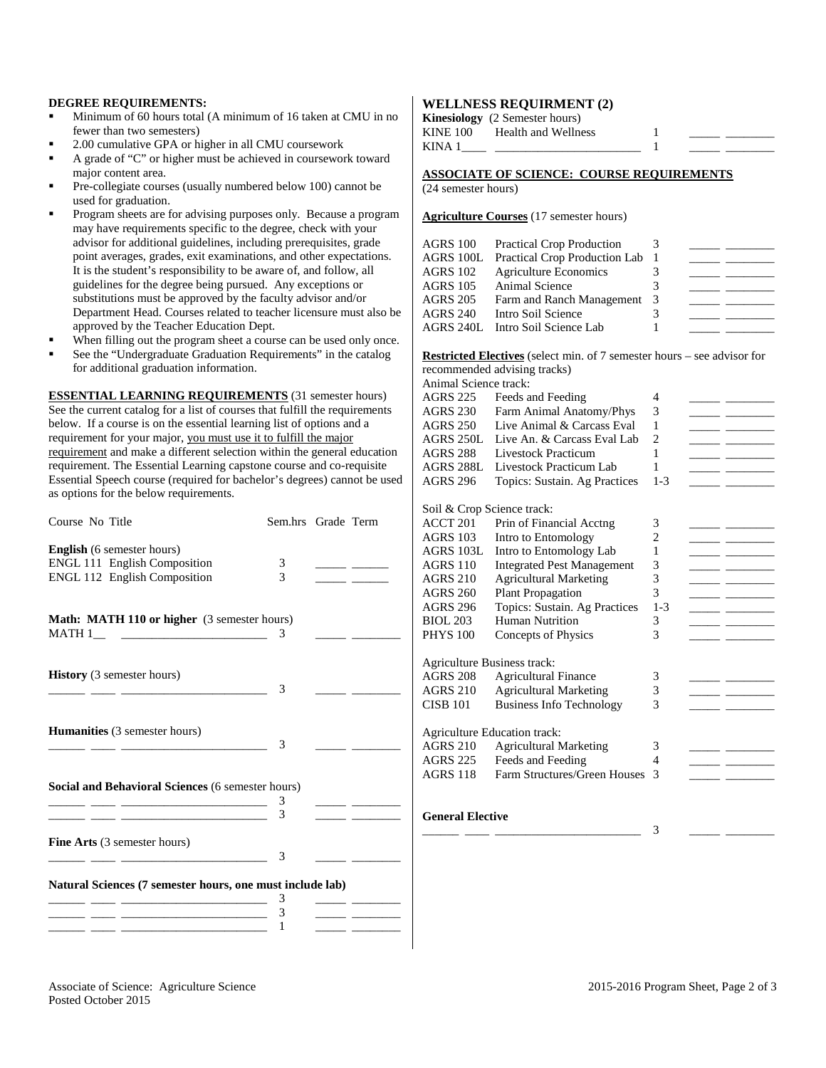### **DEGREE REQUIREMENTS:**

- Minimum of 60 hours total (A minimum of 16 taken at CMU in no fewer than two semesters)
- 2.00 cumulative GPA or higher in all CMU coursework
- A grade of "C" or higher must be achieved in coursework toward major content area.
- Pre-collegiate courses (usually numbered below 100) cannot be used for graduation.
- Program sheets are for advising purposes only. Because a program may have requirements specific to the degree, check with your advisor for additional guidelines, including prerequisites, grade point averages, grades, exit examinations, and other expectations. It is the student's responsibility to be aware of, and follow, all guidelines for the degree being pursued. Any exceptions or substitutions must be approved by the faculty advisor and/or Department Head. Courses related to teacher licensure must also be approved by the Teacher Education Dept.
- When filling out the program sheet a course can be used only once.
- See the "Undergraduate Graduation Requirements" in the catalog for additional graduation information.

**ESSENTIAL LEARNING REQUIREMENTS** (31 semester hours) See the current catalog for a list of courses that fulfill the requirements below. If a course is on the essential learning list of options and a requirement for your major, you must use it to fulfill the major requirement and make a different selection within the general education requirement. The Essential Learning capstone course and co-requisite Essential Speech course (required for bachelor's degrees) cannot be used as options for the below requirements.

| Course No Title                                                                                                                                                                                                                                                     | Sem.hrs Grade Term |  |
|---------------------------------------------------------------------------------------------------------------------------------------------------------------------------------------------------------------------------------------------------------------------|--------------------|--|
| <b>English</b> (6 semester hours)<br><b>ENGL 111 English Composition</b><br>ENGL 112 English Composition                                                                                                                                                            | 3<br>3             |  |
| <b>Math: MATH 110 or higher</b> (3 semester hours)<br>MATH 1                                                                                                                                                                                                        | 3                  |  |
| History (3 semester hours)                                                                                                                                                                                                                                          | 3                  |  |
| <b>Humanities</b> (3 semester hours)                                                                                                                                                                                                                                | 3                  |  |
| <b>Social and Behavioral Sciences (6 semester hours)</b>                                                                                                                                                                                                            | 3<br>3             |  |
| <b>Fine Arts</b> (3 semester hours)                                                                                                                                                                                                                                 | 3                  |  |
| Natural Sciences (7 semester hours, one must include lab)<br>the control of the control of the control of the control of the control of<br><u> 1980 - An Dùbhlachd ann an Dùbhlachd ann an Dùbhlachd ann an Dùbhlachd ann an Dùbhlachd ann an Dùbhlachd ann an </u> | 3<br>3             |  |
|                                                                                                                                                                                                                                                                     | 1                  |  |

### **WELLNESS REQUIRMENT (2)**

|          | <b>Kinesiology</b> (2 Semester hours) |  |  |
|----------|---------------------------------------|--|--|
| KINE 100 | Health and Wellness                   |  |  |
| KINA 1   |                                       |  |  |

## **ASSOCIATE OF SCIENCE: COURSE REQUIREMENTS**

(24 semester hours)

**Agriculture Courses** (17 semester hours)

| AGRS 100        | <b>Practical Crop Production</b> | 3  |  |
|-----------------|----------------------------------|----|--|
| AGRS 100L       | Practical Crop Production Lab    |    |  |
| AGRS 102        | <b>Agriculture Economics</b>     |    |  |
| AGRS 105        | Animal Science                   |    |  |
| AGRS 205        | Farm and Ranch Management        | -3 |  |
| <b>AGRS 240</b> | Intro Soil Science               |    |  |
|                 | AGRS 240L Intro Soil Science Lab |    |  |
|                 |                                  |    |  |

**Restricted Electives** (select min. of 7 semester hours – see advisor for recommended advising tracks)

| Animal Science track:       |                                                   |                |                                                                                                                       |
|-----------------------------|---------------------------------------------------|----------------|-----------------------------------------------------------------------------------------------------------------------|
| AGRS 225                    | Feeds and Feeding                                 | 4              |                                                                                                                       |
| <b>AGRS 230</b>             | Farm Animal Anatomy/Phys                          | 3              |                                                                                                                       |
| <b>AGRS 250</b>             | Live Animal & Carcass Eval                        | 1              |                                                                                                                       |
| AGRS 250L                   | Live An. & Carcass Eval Lab                       | $\overline{2}$ |                                                                                                                       |
| <b>AGRS 288</b>             | Livestock Practicum                               | 1              |                                                                                                                       |
| <b>AGRS 288L</b>            | Livestock Practicum Lab                           | 1              |                                                                                                                       |
| <b>AGRS 296</b>             | Topics: Sustain. Ag Practices                     | $1 - 3$        |                                                                                                                       |
| Soil & Crop Science track:  |                                                   |                |                                                                                                                       |
| <b>ACCT 201</b>             | Prin of Financial Acctng                          | 3              |                                                                                                                       |
| <b>AGRS 103</b>             | Intro to Entomology                               | 2              |                                                                                                                       |
| AGRS 103L                   | Intro to Entomology Lab                           | 1              | <u> The Common School and The Common School and The Common School and The Common School and The Common School and</u> |
| <b>AGRS 110</b>             | <b>Integrated Pest Management</b>                 | 3              |                                                                                                                       |
| <b>AGRS 210</b>             | <b>Agricultural Marketing</b>                     | 3              |                                                                                                                       |
| <b>AGRS 260</b>             | <b>Plant Propagation</b>                          | 3              |                                                                                                                       |
| <b>AGRS 296</b>             | Topics: Sustain. Ag Practices                     | $1 - 3$        |                                                                                                                       |
| <b>BIOL 203</b>             | Human Nutrition                                   | 3              |                                                                                                                       |
| <b>PHYS 100</b>             | Concepts of Physics                               | 3              |                                                                                                                       |
| Agriculture Business track: |                                                   |                |                                                                                                                       |
| <b>AGRS 208</b>             | <b>Agricultural Finance</b>                       | 3              |                                                                                                                       |
| <b>AGRS 210</b>             | <b>Agricultural Marketing</b>                     | 3              |                                                                                                                       |
| <b>CISB 101</b>             | <b>Business Info Technology</b>                   | 3              |                                                                                                                       |
|                             |                                                   |                |                                                                                                                       |
| <b>AGRS 210</b>             | <b>Agriculture Education track:</b>               |                |                                                                                                                       |
|                             | <b>Agricultural Marketing</b>                     | 3<br>4         |                                                                                                                       |
| AGRS 225<br>AGRS 118        | Feeds and Feeding<br>Farm Structures/Green Houses | 3              |                                                                                                                       |
|                             |                                                   |                |                                                                                                                       |
|                             |                                                   |                |                                                                                                                       |
| بالمحمد التاريخ المسمو      |                                                   |                |                                                                                                                       |

#### **General Elective**

\_\_\_\_\_\_ \_\_\_\_ \_\_\_\_\_\_\_\_\_\_\_\_\_\_\_\_\_\_\_\_\_\_\_\_ 3 \_\_\_\_\_ \_\_\_\_\_\_\_\_

Associate of Science: Agriculture Science 2015-2016 Program Sheet, Page 2 of 3 Posted October 2015